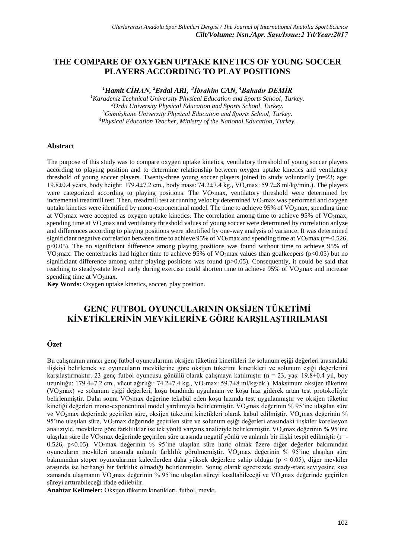## **THE COMPARE OF OXYGEN UPTAKE KINETICS OF YOUNG SOCCER PLAYERS ACCORDING TO PLAY POSITIONS**

*<sup>1</sup>Hamit CİHAN, <sup>2</sup>Erdal ARI, 3 İbrahim CAN, <sup>4</sup>Bahadır DEMİR*

*Karadeniz Technical University Physical Education and Sports School, Turkey. Ordu University Physical Education and Sports School, Turkey. Gümüşhane University Physical Education and Sports School, Turkey. Physical Education Teacher, Ministry of the National Education, Turkey.*

#### **Abstract**

The purpose of this study was to compare oxygen uptake kinetics, ventilatory threshold of young soccer players according to playing position and to determine relationship between oxygen uptake kinetics and ventilatory threshold of young soccer players. Twenty-three young soccer players joined to study voluntarily (n=23; age: 19.8±0.4 years, body height: 179.4±7.2 cm., body mass: 74.2±7.4 kg., VO2max: 59.7±8 ml/kg/min.). The players were categorized according to playing positions. The VO<sub>2</sub>max, ventilatory threshold were determined by incremental treadmill test. Then, treadmill test at running velocity determined VO2max was performed and oxygen uptake kinetics were identified by mono-exponentinal model. The time to achieve 95% of  $VO<sub>2</sub>$ max, spending time at VO<sub>2</sub>max were accepted as oxygen uptake kinetics. The correlation among time to achieve 95% of VO<sub>2</sub>max, spending time at VO<sub>2</sub>max and ventilatory threshold values of young soccer were determined by correlation anlyze and differences according to playing positions were identified by one-way analysis of variance. It was determined significiant negative correlation between time to achieve 95% of VO<sub>2</sub>max and spending time at VO<sub>2</sub>max (r=-0.526, p<0.05). The no significiant difference among playing positions was found without time to achieve 95% of VO<sub>2</sub>max. The centerbacks had higher time to achieve 95% of VO<sub>2</sub>max values than goalkeepers (p<0.05) but no significiant difference among other playing positions was found (p>0.05). Consequently, it could be said that reaching to steady-state level early during exercise could shorten time to achieve 95% of VO2max and increase spending time at  $VO<sub>2</sub>max$ .

**Key Words:** Oxygen uptake kinetics, soccer, play position.

# **GENÇ FUTBOL OYUNCULARININ OKSİJEN TÜKETİMİ KİNETİKLERİNİN MEVKİLERİNE GÖRE KARŞILAŞTIRILMASI**

## **Özet**

Bu çalışmanın amacı genç futbol oyuncularının oksijen tüketimi kinetikleri ile solunum eşiği değerleri arasındaki ilişkiyi belirlemek ve oyuncuların mevkilerine göre oksijen tüketimi kinetikleri ve solunum eşiği değerlerini karşılaştırmaktır. 23 genç futbol oyuncusu gönüllü olarak çalışmaya katılmıştır (n = 23, yaş: 19.8±0.4 yıl, boy uzunluğu: 179.4±7.2 cm., vücut ağırlığı: 74.2±7.4 kg., VO<sub>2</sub>max: 59.7±8 ml/kg/dk.). Maksimum oksijen tüketimi (VO2max) ve solunum eşiği değerleri, koşu bandında uygulanan ve koşu hızı giderek artan test protokolüyle belirlenmiştir. Daha sonra VO<sub>2</sub>max değerine tekabül eden koşu hızında test uygulanmıştır ve oksijen tüketim kinetiği değerleri mono-exponentinal model yardımıyla belirlenmiştir. VO2max değerinin % 95'ine ulaşılan süre ve VO<sub>2</sub>max değerinde geçirilen süre, oksijen tüketimi kinetikleri olarak kabul edilmiştir. VO<sub>2</sub>max değerinin % 95'ine ulaşılan süre, VO<sub>2</sub>max değerinde geçirilen süre ve solunum eşiği değerleri arasındaki ilişkiler korelasyon analiziyle, mevkilere göre farklılıklar ise tek yönlü varyans analiziyle belirlenmiştir. VO<sub>2</sub>max değerinin % 95'ine ulaşılan süre ile VO2max değerinde geçirilen süre arasında negatif yönlü ve anlamlı bir ilişki tespit edilmiştir (r=-0.526, p<0.05). VO2max değerinin % 95'ine ulaşılan süre hariç olmak üzere diğer değerler bakımından oyuncuların mevkileri arasında anlamlı farklılık görülmemiştir. VO2max değerinin % 95'ine ulaşılan süre bakımından stoper oyuncularının kalecilerden daha yüksek değerlere sahip olduğu (p < 0.05), diğer mevkiler arasında ise herhangi bir farklılık olmadığı belirlenmiştir. Sonuç olarak egzersizde steady-state seviyesine kısa zamanda ulaşmanın VO<sub>2</sub>max değerinin % 95'ine ulaşılan süreyi kısaltabileceği ve VO<sub>2</sub>max değerinde geçirilen süreyi arttırabileceği ifade edilebilir.

**Anahtar Kelimeler:** Oksijen tüketim kinetikleri, futbol, mevki.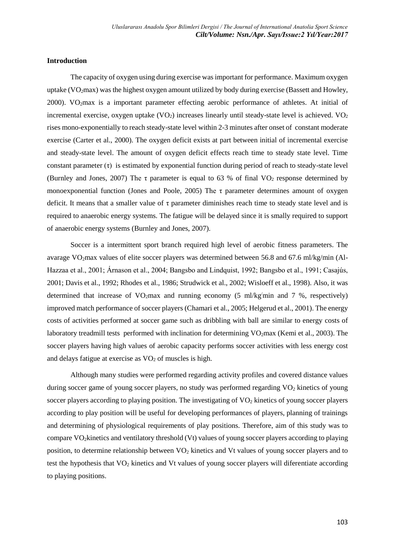### **Introduction**

The capacity of oxygen using during exercise was important for performance. Maximum oxygen uptake ( $VO<sub>2</sub>max$ ) was the highest oxygen amount utilized by body during exercise (Bassett and Howley, [2000\)](#page-8-0). VO<sub>2</sub>max is a important parameter effecting aerobic performance of athletes. At initial of incremental exercise, oxygen uptake  $(VO_2)$  increases linearly until steady-state level is achieved.  $VO_2$ rises mono-exponentially to reach steady-state level within 2-3 minutes after onset of constant moderate exercise [\(Carter et al., 2000\)](#page-9-0). The oxygen deficit exists at part between initial of incremental exercise and steady-state level. The amount of oxygen deficit effects reach time to steady state level. Time constant parameter  $(\tau)$  is estimated by exponential function during period of reach to steady-state level [\(Burnley and Jones, 2007\)](#page-9-1) The  $\tau$  parameter is equal to 63 % of final VO<sub>2</sub> response determined by monoexponential function [\(Jones and Poole, 2005\)](#page-9-2) The  $\tau$  parameter determines amount of oxygen deficit. It means that a smaller value of  $\tau$  parameter diminishes reach time to steady state level and is required to anaerobic energy systems. The fatigue will be delayed since it is smally required to support of anaerobic energy systems [\(Burnley and Jones, 2007\)](#page-8-1).

Soccer is a intermittent sport branch required high level of aerobic fitness parameters. The avarage VO<sub>2</sub>max values of elite soccer players was determined between 56.8 and 67.6 ml/kg/min (Al-Hazzaa et al., 2001; Árnason et al., 2004; Bangsbo and Lindquist, 1992; Bangsbo et al., 1991; Casajús, 2001[; Davis et al., 1992;](#page-9-3) [Rhodes et al., 1986;](#page-10-0) [Strudwick et al., 2002;](#page-10-1) [Wisloeff et al., 1998\)](#page-10-2). Also, it was determined that increase of VO<sub>2</sub>max and running economy (5 ml/kg/min and 7 %, respectively) improved match performance of soccer players (Chamari et al., 2005; Helgerud et al., 2001). The energy costs of activities performed at soccer game such as dribbling with ball are similar to energy costs of laboratory treadmill tests performed with inclination for determining VO<sub>2</sub>max (Kemi et al., 2003). The soccer players having high values of aerobic capacity performs soccer activities with less energy cost and delays fatigue at exercise as  $VO<sub>2</sub>$  of muscles is high.

Although many studies were performed regarding activity profiles and covered distance values during soccer game of young soccer players, no study was performed regarding  $VO<sub>2</sub>$  kinetics of young soccer players according to playing position. The investigating of  $VO<sub>2</sub>$  kinetics of young soccer players according to play position will be useful for developing performances of players, planning of trainings and determining of physiological requirements of play positions. Therefore, aim of this study was to compare VO2kinetics and ventilatory threshold (Vt) values of young soccer players according to playing position, to determine relationship between VO<sub>2</sub> kinetics and Vt values of young soccer players and to test the hypothesis that VO<sup>2</sup> kinetics and Vt values of young soccer players will diferentiate according to playing positions.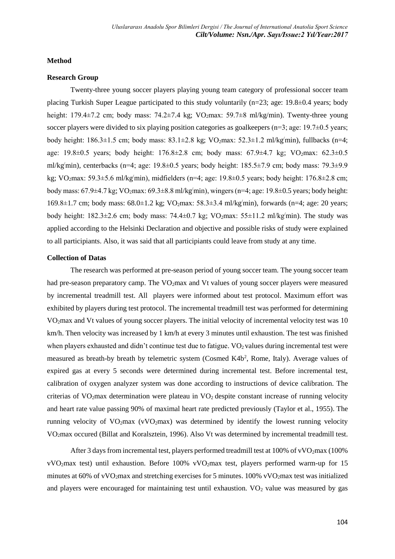#### **Method**

## **Research Group**

Twenty-three young soccer players playing young team category of professional soccer team placing Turkish Super League participated to this study voluntarily (n=23; age: 19.8±0.4 years; body height: 179.4 $\pm$ 7.2 cm; body mass: 74.2 $\pm$ 7.4 kg; VO<sub>2</sub>max: 59.7 $\pm$ 8 ml/kg/min). Twenty-three young soccer players were divided to six playing position categories as goalkeepers ( $n=3$ ; age: 19.7 $\pm$ 0.5 years; body height:  $186.3 \pm 1.5$  cm; body mass:  $83.1 \pm 2.8$  kg;  $VO_2$ max:  $52.3 \pm 1.2$  ml/kg/min), fullbacks (n=4; age:  $19.8\pm0.5$  years; body height:  $176.8\pm2.8$  cm; body mass:  $67.9\pm4.7$  kg;  $VO<sub>2</sub>max: 62.3\pm0.5$ ml/kg/min), centerbacks (n=4; age: 19.8±0.5 years; body height: 185.5±7.9 cm; body mass: 79.3±9.9 kg; VO<sub>2</sub>max: 59.3 $\pm$ 5.6 ml/kg/min), midfielders (n=4; age: 19.8 $\pm$ 0.5 years; body height: 176.8 $\pm$ 2.8 cm; body mass:  $67.9\pm4.7$  kg;  $VO<sub>2</sub>max: 69.3\pm8.8$  ml/kg/min), wingers (n=4; age: 19.8 $\pm$ 0.5 years; body height: 169.8±1.7 cm; body mass: 68.0±1.2 kg; VO2max: 58.3±3.4 ml/kg/min), forwards (n=4; age: 20 years; body height:  $182.3\pm2.6$  cm; body mass:  $74.4\pm0.7$  kg;  $VO_2$ max:  $55\pm11.2$  ml/kg/min). The study was applied according to the Helsinki Declaration and objective and possible risks of study were explained to all participiants. Also, it was said that all participiants could leave from study at any time.

## **Collection of Datas**

The research was performed at pre-season period of young soccer team. The young soccer team had pre-season preparatory camp. The VO<sub>2</sub>max and Vt values of young soccer players were measured by incremental treadmill test. All players were informed about test protocol. Maximum effort was exhibited by players during test protocol. The incremental treadmill test was performed for determining VO2max and Vt values of young soccer players. The initial velocity of incremental velocity test was 10 km/h. Then velocity was increased by 1 km/h at every 3 minutes until exhaustion. The test was finished when players exhausted and didn't continue test due to fatigue.  $VO<sub>2</sub>$  values during incremental test were measured as breath-by breath by telemetric system (Cosmed K4b<sup>2</sup>, Rome, Italy). Average values of expired gas at every 5 seconds were determined during incremental test. Before incremental test, calibration of oxygen analyzer system was done according to instructions of device calibration. The criterias of VO<sub>2</sub>max determination were plateau in VO<sub>2</sub> despite constant increase of running velocity and heart rate value passing 90% of maximal heart rate predicted previously (Taylor et al., 1955). The running velocity of  $VO<sub>2</sub>max$  (v $VO<sub>2</sub>max$ ) was determined by identify the lowest running velocity VO2max occured (Billat and Koralsztein, 1996). Also Vt was determined by incremental treadmill test.

After 3 days from incremental test, players performed treadmill test at 100% of vVO<sub>2</sub>max (100%) vVO2max test) until exhaustion. Before 100% vVO2max test, players performed warm-up for 15 minutes at 60% of vVO<sub>2</sub>max and stretching exercises for 5 minutes. 100% vVO<sub>2</sub>max test was initialized and players were encouraged for maintaining test until exhaustion.  $VO<sub>2</sub>$  value was measured by gas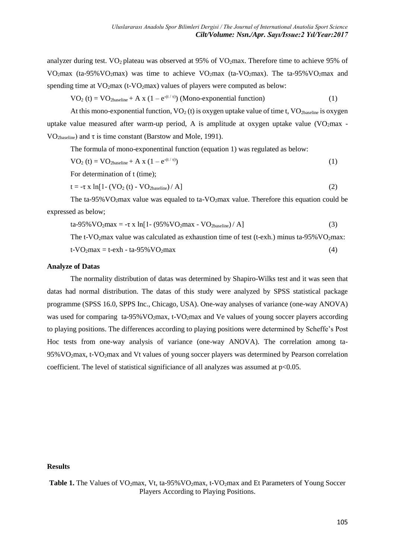analyzer during test.  $VO<sub>2</sub>$  plateau was observed at 95% of  $VO<sub>2</sub>max$ . Therefore time to achieve 95% of VO<sub>2</sub>max (ta-95%VO<sub>2</sub>max) was time to achieve VO<sub>2</sub>max (ta-VO<sub>2</sub>max). The ta-95%VO<sub>2</sub>max and spending time at  $VO<sub>2</sub>max$  (t-VO<sub>2</sub>max) values of players were computed as below:

$$
VO_2(t) = VO_{2\text{baseline}} + A x (1 - e^{-(t/\tau)})
$$
 (Mono-exponential function) (1)

At this mono-exponential function,  $VO_2$  (t) is oxygen uptake value of time t,  $VO_2$ <sub>baseline</sub> is oxygen uptake value measured after warm-up period, A is amplitude at oxygen uptake value  $(VO<sub>2</sub>max -$ VO<sub>2baseline</sub>) and  $\tau$  is time constant (Barstow and Mole, 1991).

The formula of mono-exponentinal function (equation 1) was regulated as below:

$$
VO_2(t) = VO_{2\text{baseline}} + A \times (1 - e^{-(t/\tau)})
$$
\n(1)

For determination of t (time);

$$
t = -\tau \times \ln[1 - (VO2 (t) - VO2baseline) / A]
$$
 (2)

The ta-95% VO<sub>2</sub>max value was equaled to ta-VO<sub>2</sub>max value. Therefore this equation could be expressed as below;

$$
ta-95\% VO2 max = -\tau x ln[1 - (95\% VO2 max - VO2 baseline) / A]
$$
 (3)

The  $t$ -VO<sub>2</sub>max value was calculated as exhaustion time of test (t-exh.) minus ta-95% VO<sub>2</sub>max:

$$
t-VO2max = t-exh - ta-95% VO2max
$$
 (4)

#### **Analyze of Datas**

The normality distribution of datas was determined by Shapiro-Wilks test and it was seen that datas had normal distribution. The datas of this study were analyzed by SPSS statistical package programme (SPSS 16.0, SPPS Inc., Chicago, USA). One-way analyses of variance (one-way ANOVA) was used for comparing ta-95% VO<sub>2</sub>max, t-VO<sub>2</sub>max and Ve values of young soccer players according to playing positions. The differences according to playing positions were determined by Scheffe's Post Hoc tests from one-way analysis of variance (one-way ANOVA). The correlation among ta-95%VO2max, t-VO2max and Vt values of young soccer players was determined by Pearson correlation coefficient. The level of statistical significiance of all analyzes was assumed at p<0.05.

## **Results**

Table 1. The Values of VO<sub>2</sub>max, Vt, ta-95% VO<sub>2</sub>max, t-VO<sub>2</sub>max and Et Parameters of Young Soccer Players According to Playing Positions.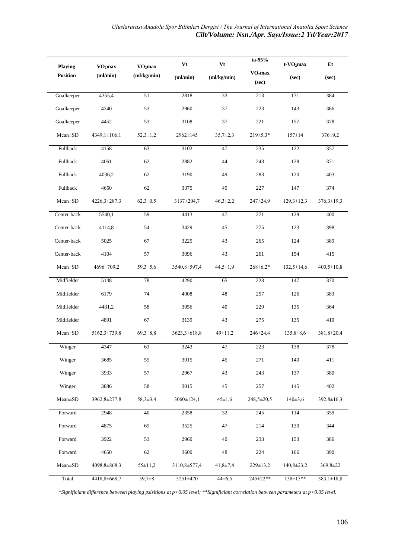| Playing         | VO <sub>2</sub> max | VO <sub>2</sub> max | Vt           | Vt             | ta-95%                       | $t$ - $VO2$ max  | Et               |
|-----------------|---------------------|---------------------|--------------|----------------|------------------------------|------------------|------------------|
| <b>Position</b> | (ml/min)            | (ml/kg/min)         | (ml/min)     | (ml/kg/min)    | VO <sub>2</sub> max<br>(sec) | (sec)            | (sec)            |
| Goalkeeper      | 4355,4              | 51                  | 2818         | 33             | 213                          | 171              | 384              |
| Goalkeeper      | 4240                | 53                  | 2960         | 37             | 223                          | 143              | 366              |
| Goalkeeper      | 4452                | 53                  | 3108         | 37             | 221                          | 157              | 378              |
| Mean±SD         | 4349,1±106,1        | $52,3 \pm 1,2$      | 2962±145     | $35,7{\pm}2,3$ | $219 \pm 5.3*$               | $157 \pm 14$     | 376±9,2          |
| Fullback        | 4158                | 63                  | 3102         | 47             | 235                          | 122              | 357              |
| Fullback        | 4061                | 62                  | 2882         | $44\,$         | 243                          | 128              | 371              |
| Fullback        | 4036,2              | 62                  | 3190         | 49             | 283                          | 120              | 403              |
| Fullback        | 4650                | 62                  | 3375         | 45             | 227                          | 147              | 374              |
| Mean±SD         | 4226, 3±287, 3      | $62,3 \pm 0.5$      | 3137±204,7   | $46,3 \pm 2,2$ | 247±24,9                     | $129,3 \pm 12,3$ | $376,3 \pm 19,3$ |
| Center-back     | 5540,1              | 59                  | 4413         | 47             | 271                          | 129              | 400              |
| Center-back     | 4114,8              | 54                  | 3429         | 45             | 275                          | 123              | 398              |
| Center-back     | 5025                | 67                  | 3225         | 43             | 265                          | 124              | 389              |
| Center-back     | 4104                | 57                  | 3096         | 43             | 261                          | 154              | 415              |
| Mean±SD         | 4696±709,2          | $59,3 \pm 5,6$      | 3540,8±597,4 | $44,5 \pm 1,9$ | $268 \pm 6.2*$               | $132,5 \pm 14,6$ | $400,5 \pm 10,8$ |
| Midfielder      | 5148                | 78                  | 4290         | 65             | 223                          | 147              | 370              |
| Midfielder      | 6179                | 74                  | 4008         | 48             | 257                          | 126              | 383              |
| Midfielder      | 4431,2              | 58                  | 3056         | 40             | 229                          | 135              | 364              |
| Midfielder      | 4891                | 67                  | 3139         | 43             | 275                          | 135              | 410              |
| $Mean \pm SD$   | 5162,3±739,8        | $69,3 \pm 8,8$      | 3623,3±618,8 | $49 \pm 11.2$  | 246±24,4                     | $135,8 \pm 8,6$  | 381,8±20,4       |
| Winger          | 4347                | 63                  | 3243         | 47             | 223                          | 138              | 378              |
| Winger          | 3685                | 55                  | 3015         | $45\,$         | $271\,$                      | 140              | 411              |
| Winger          | 3933                | 57                  | 2967         | 43             | 243                          | 137              | 380              |
| Winger          | 3886                | 58                  | 3015         | 45             | 257                          | 145              | 402              |
| Mean±SD         | 3962,8±277,8        | 58,3±3,4            | 3060±124,1   | $45 \pm 1,6$   | 248,5±20,5                   | $140 \pm 3,6$    | 392,8±16,3       |
| Forward         | 2948                | 40                  | 2358         | 32             | 245                          | 114              | 359              |
| Forward         | 4875                | 65                  | 3525         | 47             | 214                          | 130              | 344              |
| Forward         | 3922                | 53                  | 2960         | 40             | 233                          | 153              | 386              |
| Forward         | 4650                | 62                  | 3600         | $\sqrt{48}$    | 224                          | 166              | 390              |
| $Mean \pm SD$   | 4098,8±868,3        | $55 \pm 11,2$       | 3110,8±577,4 | $41,8 \pm 7,4$ | 229±13,2                     | $140,8 \pm 23,2$ | 369,8±22         |
| Total           | 4418,8±668,7        | $59,7 \pm 8$        | 3251±470     | $44\pm 6,5$    | 245±22**                     | 138±15**         | $383,1 \pm 18,8$ |

*\*Significiant difference between playing psisitions at p<0.05 level; \*\*Significiant correlation between parameters at p<0.05 level.*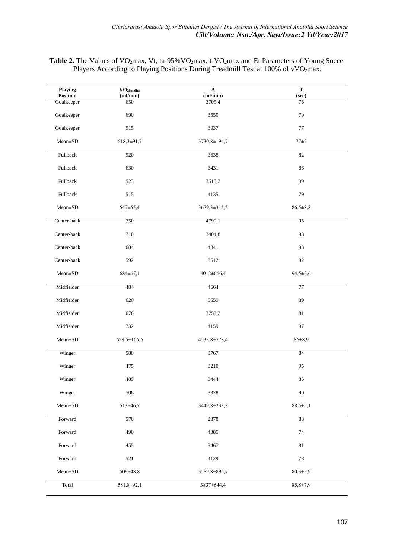Table 2. The Values of VO<sub>2</sub>max, Vt, ta-95% VO<sub>2</sub>max, t-VO<sub>2</sub>max and Et Parameters of Young Soccer Players According to Playing Positions During Treadmill Test at 100% of vVO<sub>2</sub>max.

| Playing                | $\overline{\mathrm{VO}}_{\mathrm{2} \mathrm{baseline}}$ | $\mathbf A$        | T              |
|------------------------|---------------------------------------------------------|--------------------|----------------|
| Position<br>Goalkeeper | (ml/min)<br>650                                         | (ml/min)<br>3705,4 | (sec)<br>75    |
| Goalkeeper             | 690                                                     | 3550               | 79             |
| Goalkeeper             | 515                                                     | 3937               | 77             |
| Mean±SD                | 618,3±91,7                                              | 3730,8±194,7       | $77 + 2$       |
| Fullback               | 520                                                     | 3638               | 82             |
| Fullback               | 630                                                     | 3431               | 86             |
| Fullback               | 523                                                     | 3513,2             | 99             |
| Fullback               | 515                                                     | 4135               | 79             |
| $Mean \pm SD$          | 547±55,4                                                | 3679,3±315,5       | $86,5 \pm 8,8$ |
| Center-back            | 750                                                     | 4790,1             | 95             |
| Center-back            | 710                                                     | 3404,8             | 98             |
| Center-back            | 684                                                     | 4341               | 93             |
| Center-back            | 592                                                     | 3512               | 92             |
| $Mean \pm SD$          | $684 \pm 67,1$                                          | 4012±666,4         | $94,5 \pm 2,6$ |
| Midfielder             | 484                                                     | 4664               | 77             |
| Midfielder             | 620                                                     | 5559               | 89             |
| Midfielder             | 678                                                     | 3753,2             | 81             |
| Midfielder             | 732                                                     | 4159               | 97             |
| $Mean \pm SD$          | 628,5±106,6                                             | 4533,8±778,4       | $86 + 8,9$     |
| Winger                 | 580                                                     | 3767               | 84             |
| Winger                 | 475                                                     | 3210               | 95             |
| Winger                 | 489                                                     | 3444               | 85             |
| Winger                 | 508                                                     | 3378               | 90             |
| $Mean \pm SD$          | 513±46,7                                                | 3449,8±233,3       | $88,5+5,1$     |
| Forward                | 570                                                     | 2378               | 88             |
| Forward                | 490                                                     | 4385               | $74\,$         |
| Forward                | 455                                                     | 3467               | $81\,$         |
| Forward                | 521                                                     | 4129               | 78             |
| $Mean \pm SD$          | 509±48,8                                                | 3589,8±895,7       | $80,3{\pm}5,9$ |
| Total                  | 581,8±92,1                                              | 3837±644,4         | $85,8 \pm 7,9$ |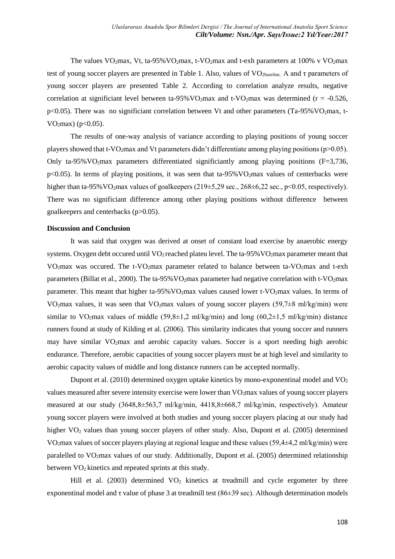The values  $VO<sub>2</sub>max$ , Vt, ta-95%  $VO<sub>2</sub>max$ , t-VO<sub>2</sub>max and t-exh parameters at 100% v VO<sub>2</sub>max test of young soccer players are presented in Table 1. Also, values of  $VO<sub>2baseline</sub>$ . A and  $\tau$  parameters of young soccer players are presented Table 2. According to correlation analyze results, negative correlation at significiant level between ta-95% VO<sub>2</sub>max and t-VO<sub>2</sub>max was determined ( $r = -0.526$ ,  $p<0.05$ ). There was no significiant correlation between Vt and other parameters (Ta-95% VO<sub>2</sub>max, t- $VO<sub>2</sub>max)$  (p<0.05).

The results of one-way analysis of variance according to playing positions of young soccer players showed that t-VO<sub>2</sub>max and Vt parameters didn't differentiate among playing positions ( $p>0.05$ ). Only ta-95% VO<sub>2</sub>max parameters differentiated significiantly among playing positions ( $F=3,736$ ,  $p<0.05$ ). In terms of playing positions, it was seen that ta-95% VO<sub>2</sub>max values of centerbacks were higher than ta-95% VO<sub>2</sub>max values of goalkeepers (219 $\pm$ 5,29 sec., 268 $\pm$ 6,22 sec., p<0.05, respectively). There was no significiant difference among other playing positions without difference between goalkeepers and centerbacks (p>0.05).

#### **Discussion and Conclusion**

It was said that oxygen was derived at onset of constant load exercise by anaerobic energy systems. Oxygen debt occured until  $VO<sub>2</sub>$  reached plateu level. The ta-95%  $VO<sub>2</sub>$  max parameter meant that VO<sub>2</sub>max was occured. The t-VO<sub>2</sub>max parameter related to balance between ta-VO<sub>2</sub>max and t-exh parameters (Billat et al., 2000). The ta-95%  $VO<sub>2</sub>max$  parameter had negative correlation with t-VO<sub>2</sub>max parameter. This meant that higher ta-95% VO2max values caused lower t-VO2max values. In terms of VO<sub>2</sub>max values, it was seen that VO<sub>2</sub>max values of young soccer players (59,7 $\pm$ 8 ml/kg/min) were similar to VO<sub>2</sub>max values of middle (59,8 $\pm$ 1,2 ml/kg/min) and long (60,2 $\pm$ 1,5 ml/kg/min) distance runners found at study of Kilding et al. (2006). This similarity indicates that young soccer and runners may have similar VO2max and aerobic capacity values. Soccer is a sport needing high aerobic endurance. Therefore, aerobic capacities of young soccer players must be at high level and similarity to aerobic capacity values of middle and long distance runners can be accepted normally.

Dupont et al. (2010) determined oxygen uptake kinetics by mono-exponentinal model and  $VO<sub>2</sub>$ values measured after severe intensity exercise were lower than VO<sub>2</sub>max values of young soccer players measured at our study (3648,8±563,7 ml/kg/min, 4418,8±668,7 ml/kg/min, respectively). Amateur young soccer players were involved at both studies and young soccer players placing at our study had higher VO<sub>2</sub> values than young soccer players of other study. Also, Dupont et al. (2005) determined VO2max values of soccer players playing at regional league and these values (59,4±4,2 ml/kg/min) were paralelled to VO2max values of our study. Additionally, Dupont et al. (2005) determined relationship between VO<sub>2</sub> kinetics and repeated sprints at this study.

Hill et al. (2003) determined  $VO<sub>2</sub>$  kinetics at treadmill and cycle ergometer by three exponentinal model and  $\tau$  value of phase 3 at treadmill test (86 $\pm$ 39 sec). Although determination models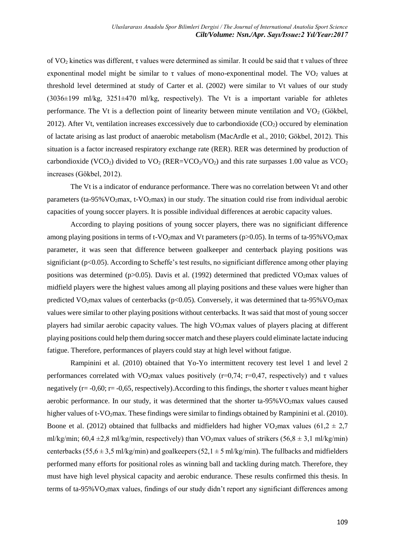of VO<sup>2</sup> kinetics was different, τ values were determined as similar. It could be said that τ values of three exponentinal model might be similar to  $\tau$  values of mono-exponentinal model. The VO<sub>2</sub> values at threshold level determined at study of Carter et al. (2002) were similar to Vt values of our study  $(3036±199 \text{ ml/kg}, 3251±470 \text{ ml/kg}, \text{respectively})$ . The Vt is a important variable for athletes performance. The Vt is a deflection point of linearity between minute ventilation and VO<sub>2</sub> (Gökbel, 2012). After Vt, ventilation increases exccessively due to carbondioxide  $(CO_2)$  occured by elemination of lactate arising as last product of anaerobic metabolism (MacArdle et al., 2010; Gökbel, 2012). This situation is a factor increased respiratory exchange rate (RER). RER was determined by production of carbondioxide (VCO<sub>2</sub>) divided to VO<sub>2</sub> (RER=VCO<sub>2</sub>/VO<sub>2</sub>) and this rate surpasses 1.00 value as VCO<sub>2</sub> increases (Gökbel, 2012).

The Vt is a indicator of endurance performance. There was no correlation between Vt and other parameters (ta-95% VO<sub>2</sub>max, t-VO<sub>2</sub>max) in our study. The situation could rise from individual aerobic capacities of young soccer players. It is possible individual differences at aerobic capacity values.

According to playing positions of young soccer players, there was no significiant difference among playing positions in terms of t-VO<sub>2</sub>max and Vt parameters ( $p$ >0.05). In terms of ta-95% VO<sub>2</sub>max parameter, it was seen that difference between goalkeeper and centerback playing positions was significiant (p<0.05). According to Scheffe's test results, no significiant difference among other playing positions was determined (p $>0.05$ ). Davis et al. (1992) determined that predicted VO<sub>2</sub>max values of midfield players were the highest values among all playing positions and these values were higher than predicted VO<sub>2</sub>max values of centerbacks ( $p<0.05$ ). Conversely, it was determined that ta-95% VO<sub>2</sub>max values were similar to other playing positions without centerbacks. It was said that most of young soccer players had similar aerobic capacity values. The high VO2max values of players placing at different playing positions could help them during soccer match and these players could eliminate lactate inducing fatigue. Therefore, performances of players could stay at high level without fatigue.

Rampinini et al. (2010) obtained that Yo-Yo intermittent recovery test level 1 and level 2 performances correlated with VO<sub>2</sub>max values positively ( $r=0.74$ ;  $r=0.47$ , respectively) and τ values negatively ( $r = -0.60$ ;  $r = -0.65$ , respectively). According to this findings, the shorter  $\tau$  values meant higher aerobic performance. In our study, it was determined that the shorter ta- $95\%$ VO<sub>2</sub>max values caused higher values of t-VO<sub>2</sub>max. These findings were similar to findings obtained by Rampinini et al. (2010). Boone et al. (2012) obtained that fullbacks and midfielders had higher VO<sub>2</sub>max values (61,2  $\pm$  2,7 ml/kg/min; 60,4  $\pm$ 2,8 ml/kg/min, respectively) than VO<sub>2</sub>max values of strikers (56,8  $\pm$  3,1 ml/kg/min) centerbacks (55,6  $\pm$  3,5 ml/kg/min) and goalkeepers (52,1  $\pm$  5 ml/kg/min). The fullbacks and midfielders performed many efforts for positional roles as winning ball and tackling during match. Therefore, they must have high level physical capacity and aerobic endurance. These results confirmed this thesis. In terms of ta-95%VO2max values, findings of our study didn't report any significiant differences among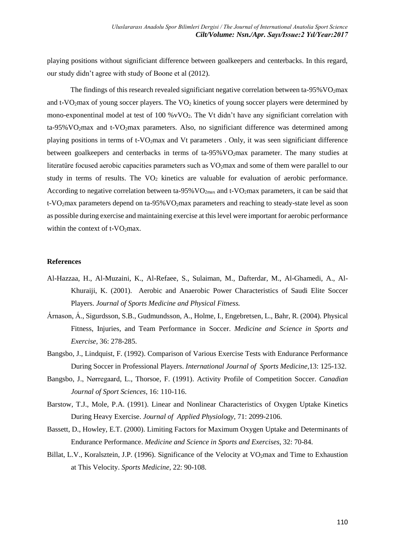playing positions without significiant difference between goalkeepers and centerbacks. In this regard, our study didn't agree with study of Boone et al (2012).

The findings of this research revealed significiant negative correlation between ta-95%  $VO<sub>2</sub>$  max and t-VO<sub>2</sub>max of young soccer players. The VO<sub>2</sub> kinetics of young soccer players were determined by mono-exponentinal model at test of 100 % $vVO<sub>2</sub>$ . The Vt didn't have any significiant correlation with ta-95% VO<sub>2</sub>max and t-VO<sub>2</sub>max parameters. Also, no significiant difference was determined among playing positions in terms of t-VO2max and Vt parameters . Only, it was seen significiant difference between goalkeepers and centerbacks in terms of ta-95%VO<sub>2</sub>max parameter. The many studies at literatüre focused aerobic capacities parameters such as VO<sub>2</sub>max and some of them were parallel to our study in terms of results. The  $VO<sub>2</sub>$  kinetics are valuable for evaluation of aerobic performance. According to negative correlation between ta-95% VO<sub>2max</sub> and t-VO<sub>2</sub>max parameters, it can be said that t-VO<sub>2</sub>max parameters depend on ta-95% VO<sub>2</sub>max parameters and reaching to steady-state level as soon as possible during exercise and maintaining exercise at this level were important for aerobic performance within the context of t-VO<sub>2</sub>max.

#### **References**

- Al-Hazzaa, H., Al-Muzaini, K., Al-Refaee, S., Sulaiman, M., Dafterdar, M., Al-Ghamedi, A., Al-Khuraiji, K. (2001). Aerobic and Anaerobic Power Characteristics of Saudi Elite Soccer Players. *Journal of Sports Medicine and Physical Fitness.*
- <span id="page-8-1"></span>Árnason, Á., Sigurdsson, S.B., Gudmundsson, A., Holme, I., Engebretsen, L., Bahr, R. (2004). Physical Fitness, Injuries, and Team Performance in Soccer. *Medicine and Science in Sports and Exercise,* 36: 278-285.
- Bangsbo, J., Lindquist, F. (1992). Comparison of Various Exercise Tests with Endurance Performance During Soccer in Professional Players. *International Journal of Sports Medicine,*13: 125-132.
- Bangsbo, J., Nørregaard, L., Thorsoe, F. (1991). Activity Profile of Competition Soccer. *Canadian Journal of Sport Sciences,* 16: 110-116.
- Barstow, T.J., Mole, P.A. (1991). Linear and Nonlinear Characteristics of Oxygen Uptake Kinetics During Heavy Exercise. *Journal of Applied Physiology,* 71: 2099-2106.
- <span id="page-8-0"></span>Bassett, D., Howley, E.T. (2000). Limiting Factors for Maximum Oxygen Uptake and Determinants of Endurance Performance. *Medicine and Science in Sports and Exercises,* 32: 70-84.
- Billat, L.V., Koralsztein, J.P. (1996). Significance of the Velocity at VO<sub>2</sub>max and Time to Exhaustion at This Velocity. *Sports Medicine,* 22: 90-108.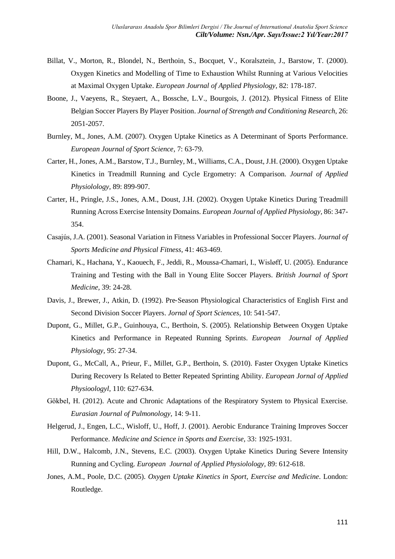- Billat, V., Morton, R., Blondel, N., Berthoin, S., Bocquet, V., Koralsztein, J., Barstow, T. (2000). Oxygen Kinetics and Modelling of Time to Exhaustion Whilst Running at Various Velocities at Maximal Oxygen Uptake. *European Journal of Applied Physiology,* 82: 178-187.
- Boone, J., Vaeyens, R., Steyaert, A., Bossche, L.V., Bourgois, J. (2012). Physical Fitness of Elite Belgian Soccer Players By Player Position. *Journal of Strength and Conditioning Research,* 26: 2051-2057.
- <span id="page-9-1"></span>Burnley, M., Jones, A.M. (2007). Oxygen Uptake Kinetics as A Determinant of Sports Performance. *European Journal of Sport Science,* 7: 63-79.
- <span id="page-9-0"></span>Carter, H., Jones, A.M., Barstow, T.J., Burnley, M., Williams, C.A., Doust, J.H. (2000). Oxygen Uptake Kinetics in Treadmill Running and Cycle Ergometry: A Comparison. *Journal of Applied Physiolology,* 89: 899-907.
- Carter, H., Pringle, J.S., Jones, A.M., Doust, J.H. (2002). Oxygen Uptake Kinetics During Treadmill Running Across Exercise Intensity Domains. *European Journal of Applied Physiology,* 86: 347- 354.
- Casajús, J.A. (2001). Seasonal Variation in Fitness Variables in Professional Soccer Players. *Journal of Sports Medicine and Physical Fitness,* 41: 463-469.
- Chamari, K., Hachana, Y., Kaouech, F., Jeddi, R., Moussa-Chamari, I., Wisløff, U. (2005). Endurance Training and Testing with the Ball in Young Elite Soccer Players. *British Journal of Sport Medicine,* 39: 24-28.
- <span id="page-9-3"></span>Davis, J., Brewer, J., Atkin, D. (1992). Pre‐Season Physiological Characteristics of English First and Second Division Soccer Players. *Jornal of Sport Sciences,* 10: 541-547.
- Dupont, G., Millet, G.P., Guinhouya, C., Berthoin, S. (2005). Relationship Between Oxygen Uptake Kinetics and Performance in Repeated Running Sprints. *European Journal of Applied Physiology,* 95: 27-34.
- Dupont, G., McCall, A., Prieur, F., Millet, G.P., Berthoin, S. (2010). Faster Oxygen Uptake Kinetics During Recovery Is Related to Better Repeated Sprinting Ability. *European Jornal of Applied Physioologyl,* 110: 627-634.
- Gökbel, H. (2012). Acute and Chronic Adaptations of the Respiratory System to Physical Exercise. *Eurasian Journal of Pulmonology,* 14: 9-11.
- Helgerud, J., Engen, L.C., Wisloff, U., Hoff, J. (2001). Aerobic Endurance Training Improves Soccer Performance. *Medicine and Science in Sports and Exercise,* 33: 1925-1931.
- Hill, D.W., Halcomb, J.N., Stevens, E.C. (2003). Oxygen Uptake Kinetics During Severe Intensity Running and Cycling. *European Journal of Applied Physiolology,* 89: 612-618.
- <span id="page-9-2"></span>Jones, A.M., Poole, D.C. (2005). *Oxygen Uptake Kinetics in Sport, Exercise and Medicine*. London: Routledge.